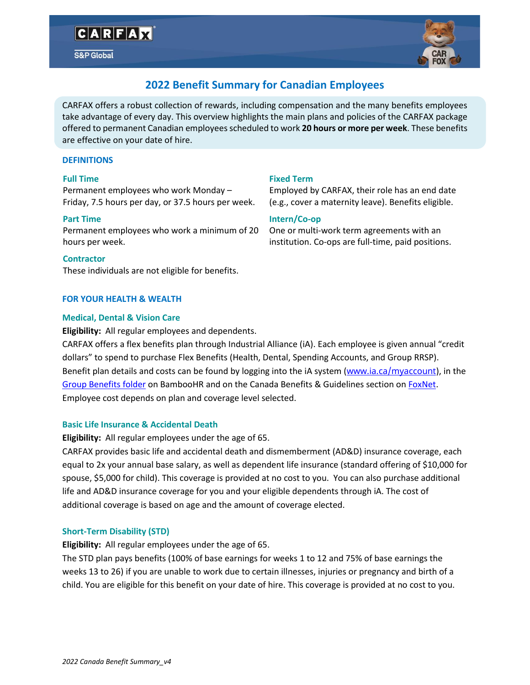# CARFAX

S&P Global



# **2022 Benefit Summary for Canadian Employees**

CARFAX offers a robust collection of rewards, including compensation and the many benefits employees take advantage of every day. This overview highlights the main plans and policies of the CARFAX package offered to permanent Canadian employeesscheduled to work **20 hours or more per week**. These benefits are effective on your date of hire.

### **DEFINITIONS**

### **Full Time**

Permanent employees who work Monday – Friday, 7.5 hours per day, or 37.5 hours per week.

#### **Part Time**

Permanent employees who work a minimum of 20 hours per week.

#### **Contractor**

These individuals are not eligible for benefits.

# **FOR YOUR HEALTH & WEALTH**

### **Medical, Dental & Vision Care**

**Eligibility:** All regular employees and dependents.

CARFAX offers a flex benefits plan through Industrial Alliance (iA). Each employee is given annual "credit dollars" to spend to purchase Flex Benefits (Health, Dental, Spending Accounts, and Group RRSP). Benefit plan details and costs can be found by logging into the iA system ([www.ia.ca/myaccount](http://www.ia.ca/myaccount)), in the [Group Benefits folder](https://carfaxcanada.bamboohr.com/files/) on BambooHR and on the Canada Benefits & Guidelines section o[n FoxNet.](https://foxnet.carfax.net/team_carfax/benefits__guidelines) Employee cost depends on plan and coverage level selected.

# **Basic Life Insurance & Accidental Death**

**Eligibility:** All regular employees under the age of 65.

CARFAX provides basic life and accidental death and dismemberment (AD&D) insurance coverage, each equal to 2x your annual base salary, as well as dependent life insurance (standard offering of \$10,000 for spouse, \$5,000 for child). This coverage is provided at no cost to you. You can also purchase additional life and AD&D insurance coverage for you and your eligible dependents through iA. The cost of additional coverage is based on age and the amount of coverage elected.

# **Short-Term Disability (STD)**

**Eligibility:** All regular employees under the age of 65.

The STD plan pays benefits (100% of base earnings for weeks 1 to 12 and 75% of base earnings the weeks 13 to 26) if you are unable to work due to certain illnesses, injuries or pregnancy and birth of a child. You are eligible for this benefit on your date of hire. This coverage is provided at no cost to you.

# **Fixed Term**

Employed by CARFAX, their role has an end date (e.g., cover a maternity leave). Benefits eligible.

# **Intern/Co-op**

One or multi-work term agreements with an institution. Co-ops are full-time, paid positions.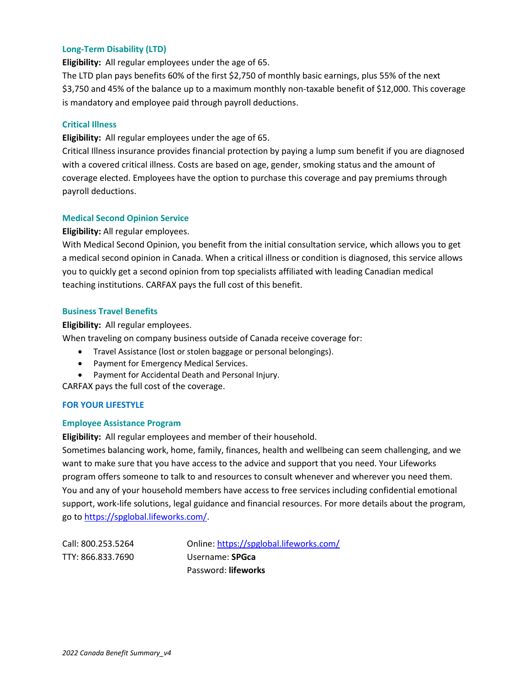#### **Long-Term Disability (LTD)**

**Eligibility:** All regular employees under the age of 65.

The LTD plan pays benefits 60% of the first \$2,750 of monthly basic earnings, plus 55% of the next \$3,750 and 45% of the balance up to a maximum monthly non-taxable benefit of \$12,000. This coverage is mandatory and employee paid through payroll deductions.

#### **Critical Illness**

**Eligibility:** All regular employees under the age of 65.

Critical Illness insurance provides financial protection by paying a lump sum benefit if you are diagnosed with a covered critical illness. Costs are based on age, gender, smoking status and the amount of coverage elected. Employees have the option to purchase this coverage and pay premiums through payroll deductions.

### **Medical Second Opinion Service**

**Eligibility:** All regular employees.

With Medical Second Opinion, you benefit from the initial consultation service, which allows you to get a medical second opinion in Canada. When a critical illness or condition is diagnosed, this service allows you to quickly get a second opinion from top specialists affiliated with leading Canadian medical teaching institutions. CARFAX pays the full cost of this benefit.

#### **Business Travel Benefits**

**Eligibility:** All regular employees.

When traveling on company business outside of Canada receive coverage for:

- Travel Assistance (lost or stolen baggage or personal belongings).
- Payment for Emergency Medical Services.
- Payment for Accidental Death and Personal Injury.

CARFAX pays the full cost of the coverage.

#### **FOR YOUR LIFESTYLE**

#### **Employee Assistance Program**

**Eligibility:** All regular employees and member of their household.

Sometimes balancing work, home, family, finances, health and wellbeing can seem challenging, and we want to make sure that you have access to the advice and support that you need. Your Lifeworks program offers someone to talk to and resources to consult whenever and wherever you need them. You and any of your household members have access to free services including confidential emotional support, work-life solutions, legal guidance and financial resources. For more details about the program, go to [https://spglobal.lifeworks.com/.](https://spglobal.lifeworks.com/)

Call: 800.253.5264 Online: <https://spglobal.lifeworks.com/> TTY: 866.833.7690 Username: **SPGca** Password: **lifeworks**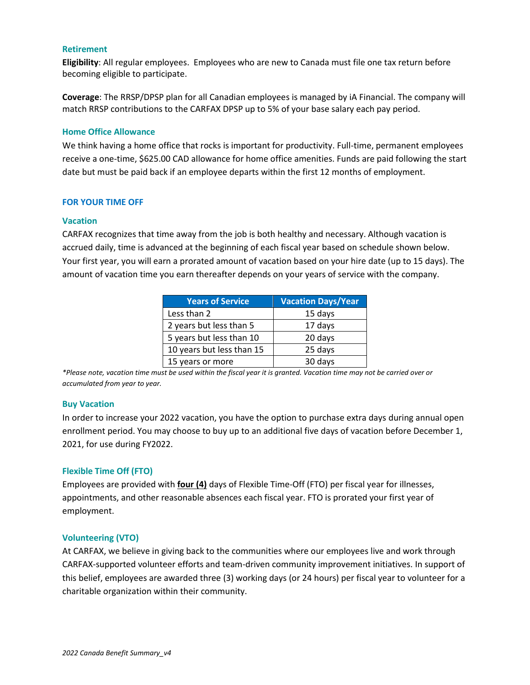#### **Retirement**

**Eligibility**: All regular employees. Employees who are new to Canada must file one tax return before becoming eligible to participate.

**Coverage**: The RRSP/DPSP plan for all Canadian employees is managed by iA Financial. The company will match RRSP contributions to the CARFAX DPSP up to 5% of your base salary each pay period.

#### **Home Office Allowance**

We think having a home office that rocks is important for productivity. Full-time, permanent employees receive a one-time, \$625.00 CAD allowance for home office amenities. Funds are paid following the start date but must be paid back if an employee departs within the first 12 months of employment.

#### **FOR YOUR TIME OFF**

#### **Vacation**

CARFAX recognizes that time away from the job is both healthy and necessary. Although vacation is accrued daily, time is advanced at the beginning of each fiscal year based on schedule shown below. Your first year, you will earn a prorated amount of vacation based on your hire date (up to 15 days). The amount of vacation time you earn thereafter depends on your years of service with the company.

| <b>Years of Service</b>   | <b>Vacation Days/Year</b> |  |
|---------------------------|---------------------------|--|
| Less than 2               | 15 days                   |  |
| 2 years but less than 5   | 17 days                   |  |
| 5 years but less than 10  | 20 days                   |  |
| 10 years but less than 15 | 25 days                   |  |
| 15 years or more          | 30 days                   |  |

*\*Please note, vacation time must be used within the fiscal year it is granted. Vacation time may not be carried over or accumulated from year to year.*

#### **Buy Vacation**

In order to increase your 2022 vacation, you have the option to purchase extra days during annual open enrollment period. You may choose to buy up to an additional five days of vacation before December 1, 2021, for use during FY2022.

#### **Flexible Time Off (FTO)**

Employees are provided with **four (4)** days of Flexible Time-Off (FTO) per fiscal year for illnesses, appointments, and other reasonable absences each fiscal year. FTO is prorated your first year of employment.

#### **Volunteering (VTO)**

At CARFAX, we believe in giving back to the communities where our employees live and work through CARFAX-supported volunteer efforts and team-driven community improvement initiatives. In support of this belief, employees are awarded three (3) working days (or 24 hours) per fiscal year to volunteer for a charitable organization within their community.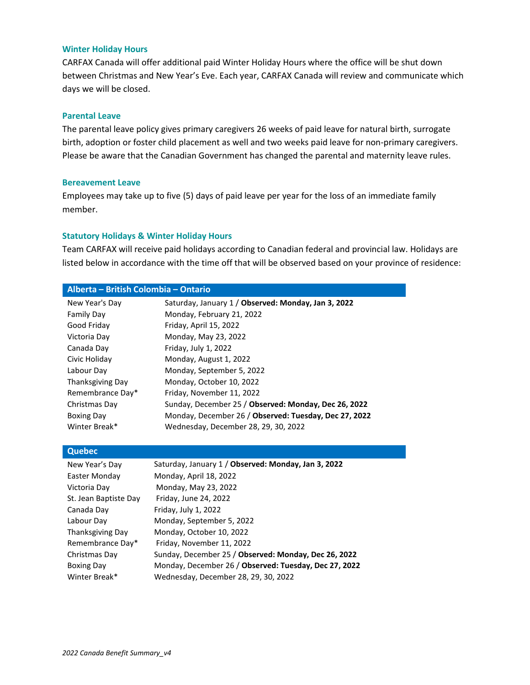#### **Winter Holiday Hours**

CARFAX Canada will offer additional paid Winter Holiday Hours where the office will be shut down between Christmas and New Year's Eve. Each year, CARFAX Canada will review and communicate which days we will be closed.

#### **Parental Leave**

The parental leave policy gives primary caregivers 26 weeks of paid leave for natural birth, surrogate birth, adoption or foster child placement as well and two weeks paid leave for non-primary caregivers. Please be aware that the Canadian Government has changed the parental and maternity leave rules.

#### **Bereavement Leave**

Employees may take up to five (5) days of paid leave per year for the loss of an immediate family member.

#### **Statutory Holidays & Winter Holiday Hours**

Team CARFAX will receive paid holidays according to Canadian federal and provincial law. Holidays are listed below in accordance with the time off that will be observed based on your province of residence:

| Alberta – British Colombia – Ontario |                                                       |  |  |  |
|--------------------------------------|-------------------------------------------------------|--|--|--|
| New Year's Day                       | Saturday, January 1 / Observed: Monday, Jan 3, 2022   |  |  |  |
| <b>Family Day</b>                    | Monday, February 21, 2022                             |  |  |  |
| Good Friday                          | Friday, April 15, 2022                                |  |  |  |
| Victoria Day                         | Monday, May 23, 2022                                  |  |  |  |
| Canada Day                           | Friday, July 1, 2022                                  |  |  |  |
| Civic Holiday                        | Monday, August 1, 2022                                |  |  |  |
| Labour Day                           | Monday, September 5, 2022                             |  |  |  |
| Thanksgiving Day                     | Monday, October 10, 2022                              |  |  |  |
| Remembrance Day*                     | Friday, November 11, 2022                             |  |  |  |
| Christmas Day                        | Sunday, December 25 / Observed: Monday, Dec 26, 2022  |  |  |  |
| <b>Boxing Day</b>                    | Monday, December 26 / Observed: Tuesday, Dec 27, 2022 |  |  |  |
| Winter Break*                        | Wednesday, December 28, 29, 30, 2022                  |  |  |  |

#### **Quebec**

| New Year's Day        | Saturday, January 1 / Observed: Monday, Jan 3, 2022   |
|-----------------------|-------------------------------------------------------|
| Easter Monday         | Monday, April 18, 2022                                |
| Victoria Day          | Monday, May 23, 2022                                  |
| St. Jean Baptiste Day | Friday, June 24, 2022                                 |
| Canada Day            | Friday, July 1, 2022                                  |
| Labour Day            | Monday, September 5, 2022                             |
| Thanksgiving Day      | Monday, October 10, 2022                              |
| Remembrance Day*      | Friday, November 11, 2022                             |
| Christmas Day         | Sunday, December 25 / Observed: Monday, Dec 26, 2022  |
| <b>Boxing Day</b>     | Monday, December 26 / Observed: Tuesday, Dec 27, 2022 |
| Winter Break*         | Wednesday, December 28, 29, 30, 2022                  |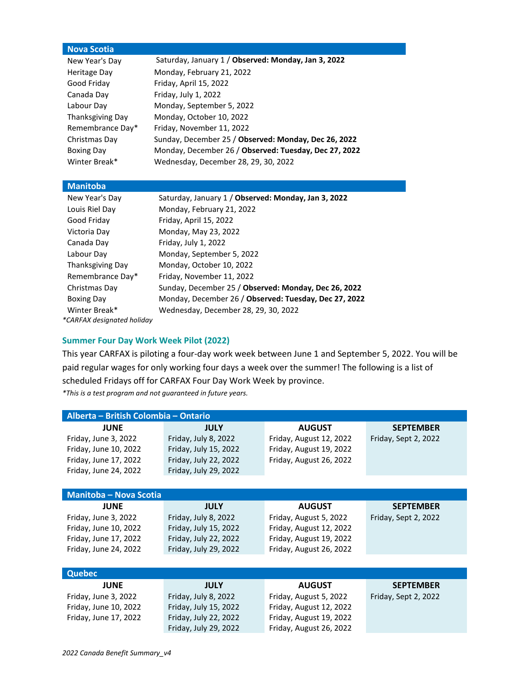### **Nova Scotia**

| New Year's Day    | Saturday, January 1 / Observed: Monday, Jan 3, 2022   |
|-------------------|-------------------------------------------------------|
| Heritage Day      | Monday, February 21, 2022                             |
| Good Friday       | Friday, April 15, 2022                                |
| Canada Day        | Friday, July 1, 2022                                  |
| Labour Day        | Monday, September 5, 2022                             |
| Thanksgiving Day  | Monday, October 10, 2022                              |
| Remembrance Day*  | Friday, November 11, 2022                             |
| Christmas Day     | Sunday, December 25 / Observed: Monday, Dec 26, 2022  |
| <b>Boxing Day</b> | Monday, December 26 / Observed: Tuesday, Dec 27, 2022 |
| Winter Break*     | Wednesday, December 28, 29, 30, 2022                  |

# **Manitoba**

| New Year's Day    | Saturday, January 1 / Observed: Monday, Jan 3, 2022   |  |  |
|-------------------|-------------------------------------------------------|--|--|
| Louis Riel Day    | Monday, February 21, 2022                             |  |  |
| Good Friday       | Friday, April 15, 2022                                |  |  |
| Victoria Day      | Monday, May 23, 2022                                  |  |  |
| Canada Day        | Friday, July 1, 2022                                  |  |  |
| Labour Day        | Monday, September 5, 2022                             |  |  |
| Thanksgiving Day  | Monday, October 10, 2022                              |  |  |
| Remembrance Day*  | Friday, November 11, 2022                             |  |  |
| Christmas Day     | Sunday, December 25 / Observed: Monday, Dec 26, 2022  |  |  |
| <b>Boxing Day</b> | Monday, December 26 / Observed: Tuesday, Dec 27, 2022 |  |  |
| Winter Break*     | Wednesday, December 28, 29, 30, 2022                  |  |  |
|                   |                                                       |  |  |

*\*CARFAX designated holiday*

# **Summer Four Day Work Week Pilot (2022)**

This year CARFAX is piloting a four-day work week between June 1 and September 5, 2022. You will be paid regular wages for only working four days a week over the summer! The following is a list of scheduled Fridays off for CARFAX Four Day Work Week by province. *\*This is a test program and not guaranteed in future years.*

| Alberta - British Colombia - Ontario |                       |                         |                      |  |  |  |
|--------------------------------------|-----------------------|-------------------------|----------------------|--|--|--|
| <b>JUNE</b>                          | <b>JULY</b>           | <b>AUGUST</b>           | <b>SEPTEMBER</b>     |  |  |  |
| Friday, June 3, 2022                 | Friday, July 8, 2022  | Friday, August 12, 2022 | Friday, Sept 2, 2022 |  |  |  |
| Friday, June 10, 2022                | Friday, July 15, 2022 | Friday, August 19, 2022 |                      |  |  |  |
| Friday, June 17, 2022                | Friday, July 22, 2022 | Friday, August 26, 2022 |                      |  |  |  |
| Friday, June 24, 2022                | Friday, July 29, 2022 |                         |                      |  |  |  |
|                                      |                       |                         |                      |  |  |  |
| <b>Manitoba - Nova Scotia</b>        |                       |                         |                      |  |  |  |
| <b>JUNE</b>                          | <b>JULY</b>           | <b>AUGUST</b>           | <b>SEPTEMBER</b>     |  |  |  |
| Friday, June 3, 2022                 | Friday, July 8, 2022  | Friday, August 5, 2022  | Friday, Sept 2, 2022 |  |  |  |
| Friday, June 10, 2022                | Friday, July 15, 2022 | Friday, August 12, 2022 |                      |  |  |  |
| Friday, June 17, 2022                | Friday, July 22, 2022 | Friday, August 19, 2022 |                      |  |  |  |
| Friday, June 24, 2022                | Friday, July 29, 2022 | Friday, August 26, 2022 |                      |  |  |  |
|                                      |                       |                         |                      |  |  |  |
| <b>Quebec</b>                        |                       |                         |                      |  |  |  |
| <b>JUNE</b>                          | <b>JULY</b>           | <b>AUGUST</b>           | <b>SEPTEMBER</b>     |  |  |  |
| Friday, June 3, 2022                 | Friday, July 8, 2022  | Friday, August 5, 2022  | Friday, Sept 2, 2022 |  |  |  |
| Friday, June 10, 2022                | Friday, July 15, 2022 | Friday, August 12, 2022 |                      |  |  |  |
| Friday, June 17, 2022                | Friday, July 22, 2022 | Friday, August 19, 2022 |                      |  |  |  |

Friday, July 29, 2022 Friday, August 26, 2022